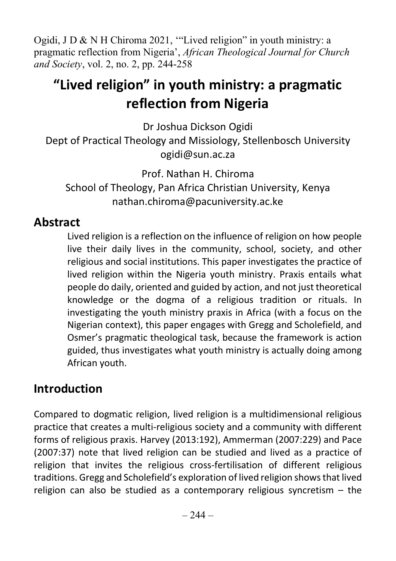Ogidi, J D & N H Chiroma 2021, '"Lived religion" in youth ministry: a pragmatic reflection from Nigeria', African Theological Journal for Church and Society, vol. 2, no. 2, pp. 244-258

# "Lived religion" in youth ministry: a pragmatic reflection from Nigeria

Dr Joshua Dickson Ogidi Dept of Practical Theology and Missiology, Stellenbosch University ogidi@sun.ac.za

Prof. Nathan H. Chiroma School of Theology, Pan Africa Christian University, Kenya nathan.chiroma@pacuniversity.ac.ke

### **Abstract**

Lived religion is a reflection on the influence of religion on how people live their daily lives in the community, school, society, and other religious and social institutions. This paper investigates the practice of lived religion within the Nigeria youth ministry. Praxis entails what people do daily, oriented and guided by action, and not just theoretical knowledge or the dogma of a religious tradition or rituals. In investigating the youth ministry praxis in Africa (with a focus on the Nigerian context), this paper engages with Gregg and Scholefield, and Osmer's pragmatic theological task, because the framework is action guided, thus investigates what youth ministry is actually doing among African youth.

### Introduction

Compared to dogmatic religion, lived religion is a multidimensional religious practice that creates a multi-religious society and a community with different forms of religious praxis. Harvey (2013:192), Ammerman (2007:229) and Pace (2007:37) note that lived religion can be studied and lived as a practice of religion that invites the religious cross-fertilisation of different religious traditions. Gregg and Scholefield's exploration of lived religion shows that lived religion can also be studied as a contemporary religious syncretism – the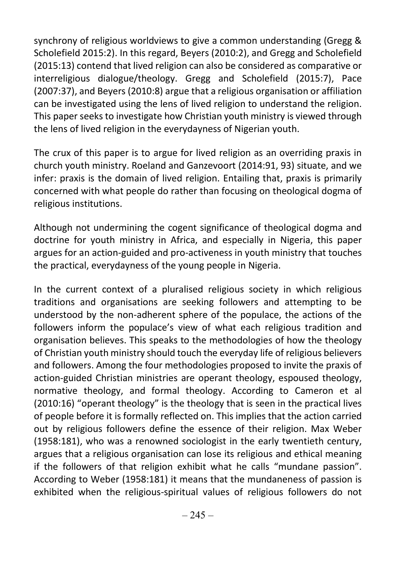synchrony of religious worldviews to give a common understanding (Gregg & Scholefield 2015:2). In this regard, Beyers (2010:2), and Gregg and Scholefield (2015:13) contend that lived religion can also be considered as comparative or interreligious dialogue/theology. Gregg and Scholefield (2015:7), Pace (2007:37), and Beyers (2010:8) argue that a religious organisation or affiliation can be investigated using the lens of lived religion to understand the religion. This paper seeks to investigate how Christian youth ministry is viewed through the lens of lived religion in the everydayness of Nigerian youth.

The crux of this paper is to argue for lived religion as an overriding praxis in church youth ministry. Roeland and Ganzevoort (2014:91, 93) situate, and we infer: praxis is the domain of lived religion. Entailing that, praxis is primarily concerned with what people do rather than focusing on theological dogma of religious institutions.

Although not undermining the cogent significance of theological dogma and doctrine for youth ministry in Africa, and especially in Nigeria, this paper argues for an action-guided and pro-activeness in youth ministry that touches the practical, everydayness of the young people in Nigeria.

In the current context of a pluralised religious society in which religious traditions and organisations are seeking followers and attempting to be understood by the non-adherent sphere of the populace, the actions of the followers inform the populace's view of what each religious tradition and organisation believes. This speaks to the methodologies of how the theology of Christian youth ministry should touch the everyday life of religious believers and followers. Among the four methodologies proposed to invite the praxis of action-guided Christian ministries are operant theology, espoused theology, normative theology, and formal theology. According to Cameron et al (2010:16) "operant theology" is the theology that is seen in the practical lives of people before it is formally reflected on. This implies that the action carried out by religious followers define the essence of their religion. Max Weber (1958:181), who was a renowned sociologist in the early twentieth century, argues that a religious organisation can lose its religious and ethical meaning if the followers of that religion exhibit what he calls "mundane passion". According to Weber (1958:181) it means that the mundaneness of passion is exhibited when the religious-spiritual values of religious followers do not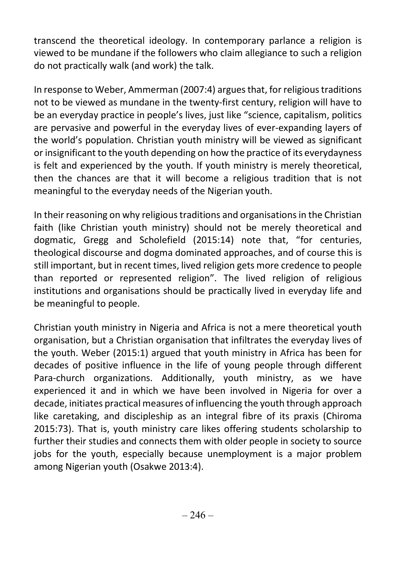transcend the theoretical ideology. In contemporary parlance a religion is viewed to be mundane if the followers who claim allegiance to such a religion do not practically walk (and work) the talk.

In response to Weber, Ammerman (2007:4) argues that, for religious traditions not to be viewed as mundane in the twenty-first century, religion will have to be an everyday practice in people's lives, just like "science, capitalism, politics are pervasive and powerful in the everyday lives of ever-expanding layers of the world's population. Christian youth ministry will be viewed as significant or insignificant to the youth depending on how the practice of its everydayness is felt and experienced by the youth. If youth ministry is merely theoretical, then the chances are that it will become a religious tradition that is not meaningful to the everyday needs of the Nigerian youth.

In their reasoning on why religious traditions and organisations in the Christian faith (like Christian youth ministry) should not be merely theoretical and dogmatic, Gregg and Scholefield (2015:14) note that, "for centuries, theological discourse and dogma dominated approaches, and of course this is still important, but in recent times, lived religion gets more credence to people than reported or represented religion". The lived religion of religious institutions and organisations should be practically lived in everyday life and be meaningful to people.

Christian youth ministry in Nigeria and Africa is not a mere theoretical youth organisation, but a Christian organisation that infiltrates the everyday lives of the youth. Weber (2015:1) argued that youth ministry in Africa has been for decades of positive influence in the life of young people through different Para-church organizations. Additionally, youth ministry, as we have experienced it and in which we have been involved in Nigeria for over a decade, initiates practical measures of influencing the youth through approach like caretaking, and discipleship as an integral fibre of its praxis (Chiroma 2015:73). That is, youth ministry care likes offering students scholarship to further their studies and connects them with older people in society to source jobs for the youth, especially because unemployment is a major problem among Nigerian youth (Osakwe 2013:4).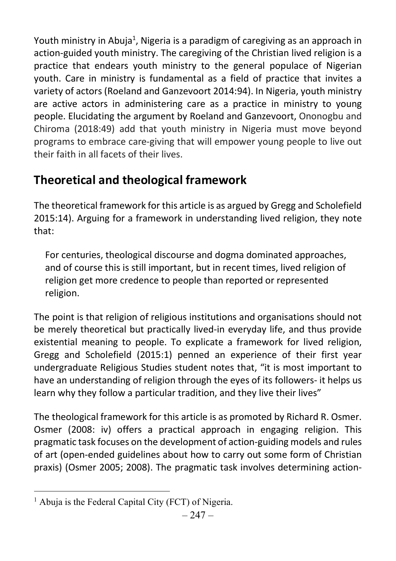Youth ministry in Abuja<sup>1</sup>, Nigeria is a paradigm of caregiving as an approach in action-guided youth ministry. The caregiving of the Christian lived religion is a practice that endears youth ministry to the general populace of Nigerian youth. Care in ministry is fundamental as a field of practice that invites a variety of actors (Roeland and Ganzevoort 2014:94). In Nigeria, youth ministry are active actors in administering care as a practice in ministry to young people. Elucidating the argument by Roeland and Ganzevoort, Ononogbu and Chiroma (2018:49) add that youth ministry in Nigeria must move beyond programs to embrace care-giving that will empower young people to live out their faith in all facets of their lives.

# Theoretical and theological framework

The theoretical framework for this article is as argued by Gregg and Scholefield 2015:14). Arguing for a framework in understanding lived religion, they note that:

For centuries, theological discourse and dogma dominated approaches, and of course this is still important, but in recent times, lived religion of religion get more credence to people than reported or represented religion.

The point is that religion of religious institutions and organisations should not be merely theoretical but practically lived-in everyday life, and thus provide existential meaning to people. To explicate a framework for lived religion, Gregg and Scholefield (2015:1) penned an experience of their first year undergraduate Religious Studies student notes that, "it is most important to have an understanding of religion through the eyes of its followers- it helps us learn why they follow a particular tradition, and they live their lives"

The theological framework for this article is as promoted by Richard R. Osmer. Osmer (2008: iv) offers a practical approach in engaging religion. This pragmatic task focuses on the development of action-guiding models and rules of art (open-ended guidelines about how to carry out some form of Christian praxis) (Osmer 2005; 2008). The pragmatic task involves determining action-

<sup>&</sup>lt;sup>1</sup> Abuja is the Federal Capital City (FCT) of Nigeria.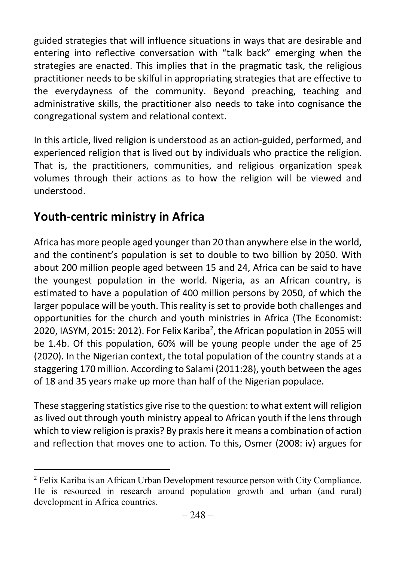guided strategies that will influence situations in ways that are desirable and entering into reflective conversation with "talk back" emerging when the strategies are enacted. This implies that in the pragmatic task, the religious practitioner needs to be skilful in appropriating strategies that are effective to the everydayness of the community. Beyond preaching, teaching and administrative skills, the practitioner also needs to take into cognisance the congregational system and relational context.

In this article, lived religion is understood as an action-guided, performed, and experienced religion that is lived out by individuals who practice the religion. That is, the practitioners, communities, and religious organization speak volumes through their actions as to how the religion will be viewed and understood.

# Youth-centric ministry in Africa

Africa has more people aged younger than 20 than anywhere else in the world, and the continent's population is set to double to two billion by 2050. With about 200 million people aged between 15 and 24, Africa can be said to have the youngest population in the world. Nigeria, as an African country, is estimated to have a population of 400 million persons by 2050, of which the larger populace will be youth. This reality is set to provide both challenges and opportunities for the church and youth ministries in Africa (The Economist: 2020, IASYM, 2015: 2012). For Felix Kariba<sup>2</sup>, the African population in 2055 will be 1.4b. Of this population, 60% will be young people under the age of 25 (2020). In the Nigerian context, the total population of the country stands at a staggering 170 million. According to Salami (2011:28), youth between the ages of 18 and 35 years make up more than half of the Nigerian populace.

These staggering statistics give rise to the question: to what extent will religion as lived out through youth ministry appeal to African youth if the lens through which to view religion is praxis? By praxis here it means a combination of action and reflection that moves one to action. To this, Osmer (2008: iv) argues for

<sup>&</sup>lt;sup>2</sup> Felix Kariba is an African Urban Development resource person with City Compliance. He is resourced in research around population growth and urban (and rural) development in Africa countries.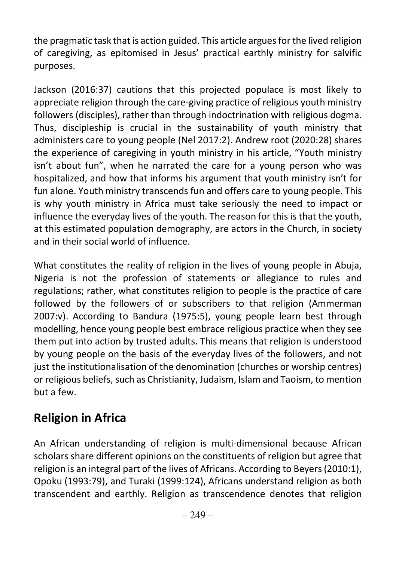the pragmatic task that is action guided. This article argues for the lived religion of caregiving, as epitomised in Jesus' practical earthly ministry for salvific purposes.

Jackson (2016:37) cautions that this projected populace is most likely to appreciate religion through the care-giving practice of religious youth ministry followers (disciples), rather than through indoctrination with religious dogma. Thus, discipleship is crucial in the sustainability of youth ministry that administers care to young people (Nel 2017:2). Andrew root (2020:28) shares the experience of caregiving in youth ministry in his article, "Youth ministry isn't about fun", when he narrated the care for a young person who was hospitalized, and how that informs his argument that youth ministry isn't for fun alone. Youth ministry transcends fun and offers care to young people. This is why youth ministry in Africa must take seriously the need to impact or influence the everyday lives of the youth. The reason for this is that the youth, at this estimated population demography, are actors in the Church, in society and in their social world of influence.

What constitutes the reality of religion in the lives of young people in Abuja, Nigeria is not the profession of statements or allegiance to rules and regulations; rather, what constitutes religion to people is the practice of care followed by the followers of or subscribers to that religion (Ammerman 2007:v). According to Bandura (1975:5), young people learn best through modelling, hence young people best embrace religious practice when they see them put into action by trusted adults. This means that religion is understood by young people on the basis of the everyday lives of the followers, and not just the institutionalisation of the denomination (churches or worship centres) or religious beliefs, such as Christianity, Judaism, Islam and Taoism, to mention but a few.

# Religion in Africa

An African understanding of religion is multi-dimensional because African scholars share different opinions on the constituents of religion but agree that religion is an integral part of the lives of Africans. According to Beyers (2010:1), Opoku (1993:79), and Turaki (1999:124), Africans understand religion as both transcendent and earthly. Religion as transcendence denotes that religion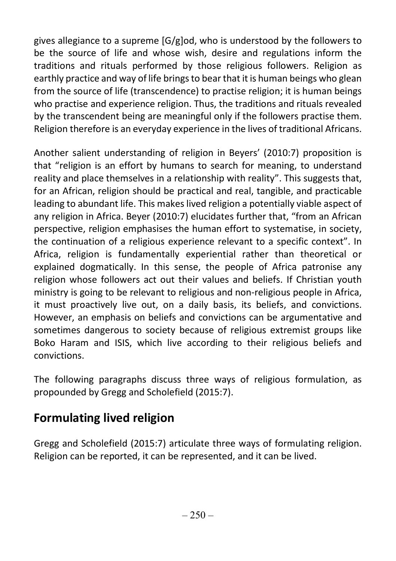gives allegiance to a supreme [G/g]od, who is understood by the followers to be the source of life and whose wish, desire and regulations inform the traditions and rituals performed by those religious followers. Religion as earthly practice and way of life brings to bear that it is human beings who glean from the source of life (transcendence) to practise religion; it is human beings who practise and experience religion. Thus, the traditions and rituals revealed by the transcendent being are meaningful only if the followers practise them. Religion therefore is an everyday experience in the lives of traditional Africans.

Another salient understanding of religion in Beyers' (2010:7) proposition is that "religion is an effort by humans to search for meaning, to understand reality and place themselves in a relationship with reality". This suggests that, for an African, religion should be practical and real, tangible, and practicable leading to abundant life. This makes lived religion a potentially viable aspect of any religion in Africa. Beyer (2010:7) elucidates further that, "from an African perspective, religion emphasises the human effort to systematise, in society, the continuation of a religious experience relevant to a specific context". In Africa, religion is fundamentally experiential rather than theoretical or explained dogmatically. In this sense, the people of Africa patronise any religion whose followers act out their values and beliefs. If Christian youth ministry is going to be relevant to religious and non-religious people in Africa, it must proactively live out, on a daily basis, its beliefs, and convictions. However, an emphasis on beliefs and convictions can be argumentative and sometimes dangerous to society because of religious extremist groups like Boko Haram and ISIS, which live according to their religious beliefs and convictions.

The following paragraphs discuss three ways of religious formulation, as propounded by Gregg and Scholefield (2015:7).

### Formulating lived religion

Gregg and Scholefield (2015:7) articulate three ways of formulating religion. Religion can be reported, it can be represented, and it can be lived.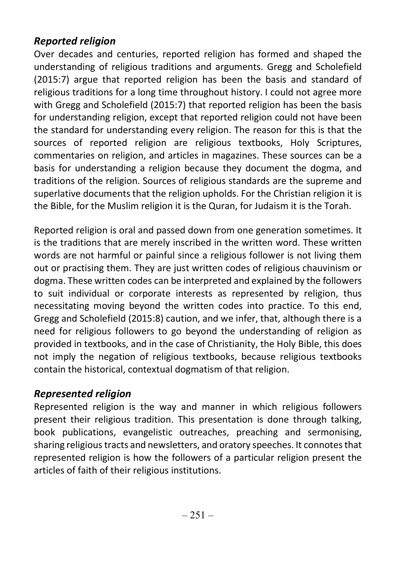#### Reported religion

Over decades and centuries, reported religion has formed and shaped the understanding of religious traditions and arguments. Gregg and Scholefield (2015:7) argue that reported religion has been the basis and standard of religious traditions for a long time throughout history. I could not agree more with Gregg and Scholefield (2015:7) that reported religion has been the basis for understanding religion, except that reported religion could not have been the standard for understanding every religion. The reason for this is that the sources of reported religion are religious textbooks, Holy Scriptures, commentaries on religion, and articles in magazines. These sources can be a basis for understanding a religion because they document the dogma, and traditions of the religion. Sources of religious standards are the supreme and superlative documents that the religion upholds. For the Christian religion it is the Bible, for the Muslim religion it is the Quran, for Judaism it is the Torah.

Reported religion is oral and passed down from one generation sometimes. It is the traditions that are merely inscribed in the written word. These written words are not harmful or painful since a religious follower is not living them out or practising them. They are just written codes of religious chauvinism or dogma. These written codes can be interpreted and explained by the followers to suit individual or corporate interests as represented by religion, thus necessitating moving beyond the written codes into practice. To this end, Gregg and Scholefield (2015:8) caution, and we infer, that, although there is a need for religious followers to go beyond the understanding of religion as provided in textbooks, and in the case of Christianity, the Holy Bible, this does not imply the negation of religious textbooks, because religious textbooks contain the historical, contextual dogmatism of that religion.

#### Represented religion

Represented religion is the way and manner in which religious followers present their religious tradition. This presentation is done through talking, book publications, evangelistic outreaches, preaching and sermonising, sharing religious tracts and newsletters, and oratory speeches. It connotes that represented religion is how the followers of a particular religion present the articles of faith of their religious institutions.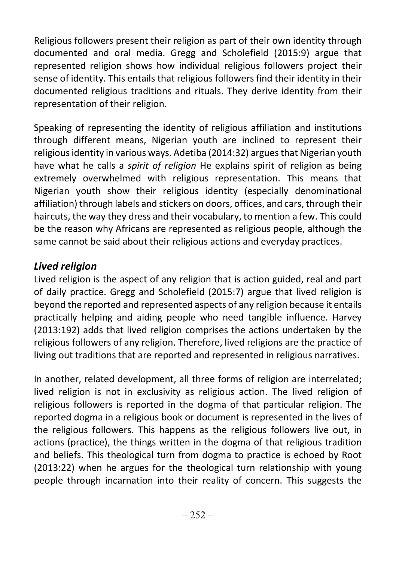Religious followers present their religion as part of their own identity through documented and oral media. Gregg and Scholefield (2015:9) argue that represented religion shows how individual religious followers project their sense of identity. This entails that religious followers find their identity in their documented religious traditions and rituals. They derive identity from their representation of their religion.

Speaking of representing the identity of religious affiliation and institutions through different means, Nigerian youth are inclined to represent their religious identity in various ways. Adetiba (2014:32) argues that Nigerian youth have what he calls a *spirit of religion* He explains spirit of religion as being extremely overwhelmed with religious representation. This means that Nigerian youth show their religious identity (especially denominational affiliation) through labels and stickers on doors, offices, and cars, through their haircuts, the way they dress and their vocabulary, to mention a few. This could be the reason why Africans are represented as religious people, although the same cannot be said about their religious actions and everyday practices.

#### Lived religion

Lived religion is the aspect of any religion that is action guided, real and part of daily practice. Gregg and Scholefield (2015:7) argue that lived religion is beyond the reported and represented aspects of any religion because it entails practically helping and aiding people who need tangible influence. Harvey (2013:192) adds that lived religion comprises the actions undertaken by the religious followers of any religion. Therefore, lived religions are the practice of living out traditions that are reported and represented in religious narratives.

In another, related development, all three forms of religion are interrelated; lived religion is not in exclusivity as religious action. The lived religion of religious followers is reported in the dogma of that particular religion. The reported dogma in a religious book or document is represented in the lives of the religious followers. This happens as the religious followers live out, in actions (practice), the things written in the dogma of that religious tradition and beliefs. This theological turn from dogma to practice is echoed by Root (2013:22) when he argues for the theological turn relationship with young people through incarnation into their reality of concern. This suggests the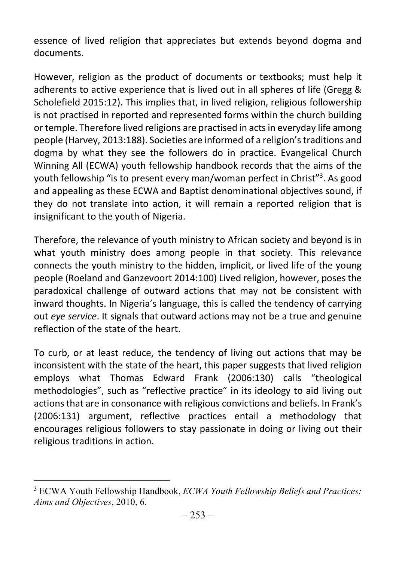essence of lived religion that appreciates but extends beyond dogma and documents.

However, religion as the product of documents or textbooks; must help it adherents to active experience that is lived out in all spheres of life (Gregg & Scholefield 2015:12). This implies that, in lived religion, religious followership is not practised in reported and represented forms within the church building or temple. Therefore lived religions are practised in acts in everyday life among people (Harvey, 2013:188). Societies are informed of a religion's traditions and dogma by what they see the followers do in practice. Evangelical Church Winning All (ECWA) youth fellowship handbook records that the aims of the youth fellowship "is to present every man/woman perfect in Christ"<sup>3</sup> . As good and appealing as these ECWA and Baptist denominational objectives sound, if they do not translate into action, it will remain a reported religion that is insignificant to the youth of Nigeria.

Therefore, the relevance of youth ministry to African society and beyond is in what youth ministry does among people in that society. This relevance connects the youth ministry to the hidden, implicit, or lived life of the young people (Roeland and Ganzevoort 2014:100) Lived religion, however, poses the paradoxical challenge of outward actions that may not be consistent with inward thoughts. In Nigeria's language, this is called the tendency of carrying out eye service. It signals that outward actions may not be a true and genuine reflection of the state of the heart.

To curb, or at least reduce, the tendency of living out actions that may be inconsistent with the state of the heart, this paper suggests that lived religion employs what Thomas Edward Frank (2006:130) calls "theological methodologies", such as "reflective practice" in its ideology to aid living out actions that are in consonance with religious convictions and beliefs. In Frank's (2006:131) argument, reflective practices entail a methodology that encourages religious followers to stay passionate in doing or living out their religious traditions in action.

<sup>&</sup>lt;sup>3</sup> ECWA Youth Fellowship Handbook, *ECWA Youth Fellowship Beliefs and Practices*: Aims and Objectives, 2010, 6.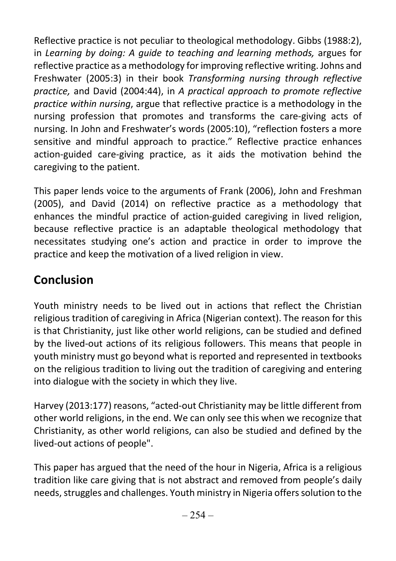Reflective practice is not peculiar to theological methodology. Gibbs (1988:2), in Learning by doing: A guide to teaching and learning methods, argues for reflective practice as a methodology for improving reflective writing. Johns and Freshwater (2005:3) in their book Transforming nursing through reflective practice, and David (2004:44), in A practical approach to promote reflective practice within nursing, argue that reflective practice is a methodology in the nursing profession that promotes and transforms the care-giving acts of nursing. In John and Freshwater's words (2005:10), "reflection fosters a more sensitive and mindful approach to practice." Reflective practice enhances action-guided care-giving practice, as it aids the motivation behind the caregiving to the patient.

This paper lends voice to the arguments of Frank (2006), John and Freshman (2005), and David (2014) on reflective practice as a methodology that enhances the mindful practice of action-guided caregiving in lived religion, because reflective practice is an adaptable theological methodology that necessitates studying one's action and practice in order to improve the practice and keep the motivation of a lived religion in view.

# Conclusion

Youth ministry needs to be lived out in actions that reflect the Christian religious tradition of caregiving in Africa (Nigerian context). The reason for this is that Christianity, just like other world religions, can be studied and defined by the lived-out actions of its religious followers. This means that people in youth ministry must go beyond what is reported and represented in textbooks on the religious tradition to living out the tradition of caregiving and entering into dialogue with the society in which they live.

Harvey (2013:177) reasons, "acted-out Christianity may be little different from other world religions, in the end. We can only see this when we recognize that Christianity, as other world religions, can also be studied and defined by the lived-out actions of people".

This paper has argued that the need of the hour in Nigeria, Africa is a religious tradition like care giving that is not abstract and removed from people's daily needs, struggles and challenges. Youth ministry in Nigeria offers solution to the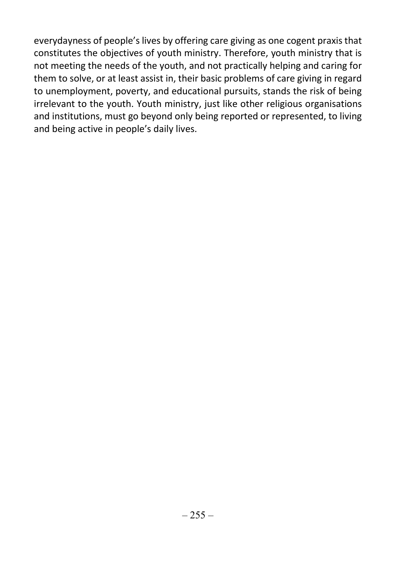everydayness of people's lives by offering care giving as one cogent praxis that constitutes the objectives of youth ministry. Therefore, youth ministry that is not meeting the needs of the youth, and not practically helping and caring for them to solve, or at least assist in, their basic problems of care giving in regard to unemployment, poverty, and educational pursuits, stands the risk of being irrelevant to the youth. Youth ministry, just like other religious organisations and institutions, must go beyond only being reported or represented, to living and being active in people's daily lives.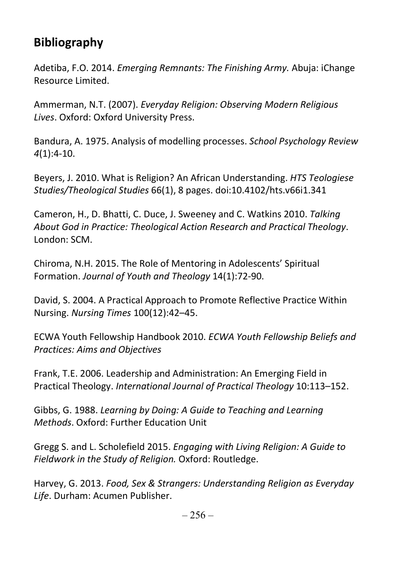# Bibliography

Adetiba, F.O. 2014. Emerging Remnants: The Finishing Army. Abuja: iChange Resource Limited.

Ammerman, N.T. (2007). Everyday Religion: Observing Modern Religious Lives. Oxford: Oxford University Press.

Bandura, A. 1975. Analysis of modelling processes. School Psychology Review 4(1):4-10.

Beyers, J. 2010. What is Religion? An African Understanding. HTS Teologiese Studies/Theological Studies 66(1), 8 pages. doi:10.4102/hts.v66i1.341

Cameron, H., D. Bhatti, C. Duce, J. Sweeney and C. Watkins 2010. Talking About God in Practice: Theological Action Research and Practical Theology. London: SCM.

Chiroma, N.H. 2015. The Role of Mentoring in Adolescents' Spiritual Formation. Journal of Youth and Theology 14(1):72-90.

David, S. 2004. A Practical Approach to Promote Reflective Practice Within Nursing. Nursing Times 100(12):42–45.

ECWA Youth Fellowship Handbook 2010. ECWA Youth Fellowship Beliefs and Practices: Aims and Objectives

Frank, T.E. 2006. Leadership and Administration: An Emerging Field in Practical Theology. International Journal of Practical Theology 10:113–152.

Gibbs, G. 1988. Learning by Doing: A Guide to Teaching and Learning Methods. Oxford: Further Education Unit

Gregg S. and L. Scholefield 2015. Engaging with Living Religion: A Guide to Fieldwork in the Study of Religion. Oxford: Routledge.

Harvey, G. 2013. Food, Sex & Strangers: Understanding Religion as Everyday Life. Durham: Acumen Publisher.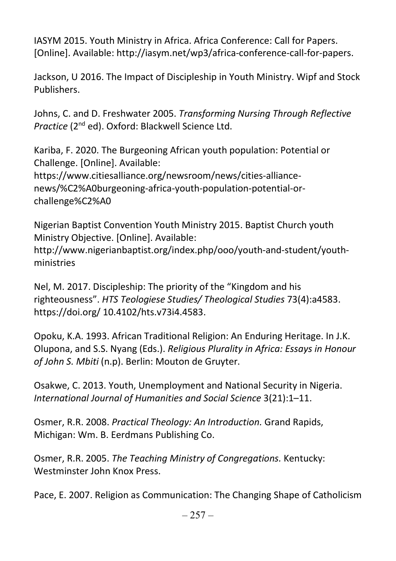IASYM 2015. Youth Ministry in Africa. Africa Conference: Call for Papers. [Online]. Available: http://iasym.net/wp3/africa-conference-call-for-papers.

Jackson, U 2016. The Impact of Discipleship in Youth Ministry. Wipf and Stock Publishers.

Johns, C. and D. Freshwater 2005. Transforming Nursing Through Reflective Practice (2nd ed). Oxford: Blackwell Science Ltd.

Kariba, F. 2020. The Burgeoning African youth population: Potential or Challenge. [Online]. Available: https://www.citiesalliance.org/newsroom/news/cities-alliancenews/%C2%A0burgeoning-africa-youth-population-potential-orchallenge%C2%A0

Nigerian Baptist Convention Youth Ministry 2015. Baptist Church youth Ministry Objective. [Online]. Available: http://www.nigerianbaptist.org/index.php/ooo/youth-and-student/youthministries

Nel, M. 2017. Discipleship: The priority of the "Kingdom and his righteousness". HTS Teologiese Studies/ Theological Studies 73(4):a4583. https://doi.org/ 10.4102/hts.v73i4.4583.

Opoku, K.A. 1993. African Traditional Religion: An Enduring Heritage. In J.K. Olupona, and S.S. Nyang (Eds.). Religious Plurality in Africa: Essays in Honour of John S. Mbiti (n.p). Berlin: Mouton de Gruyter.

Osakwe, C. 2013. Youth, Unemployment and National Security in Nigeria. International Journal of Humanities and Social Science 3(21):1–11.

Osmer, R.R. 2008. Practical Theology: An Introduction. Grand Rapids, Michigan: Wm. B. Eerdmans Publishing Co.

Osmer, R.R. 2005. The Teaching Ministry of Congregations. Kentucky: Westminster John Knox Press.

Pace, E. 2007. Religion as Communication: The Changing Shape of Catholicism